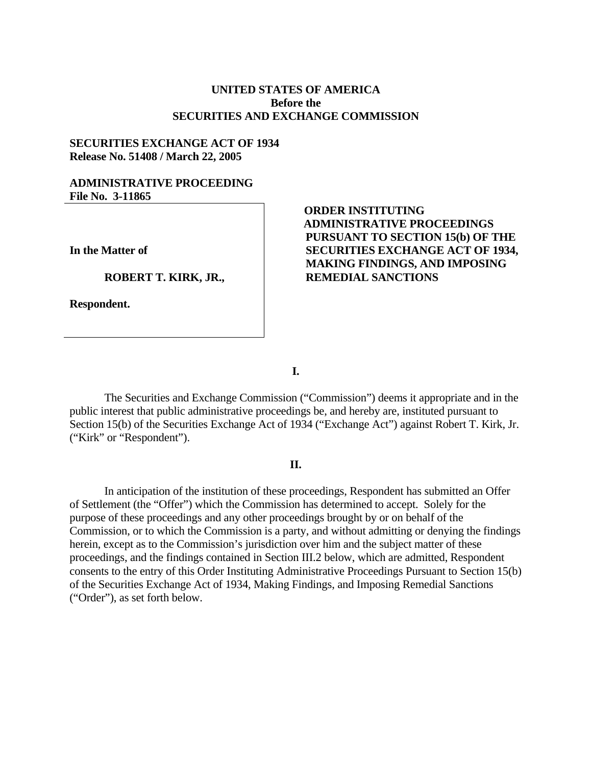## **UNITED STATES OF AMERICA Before the SECURITIES AND EXCHANGE COMMISSION**

#### **SECURITIES EXCHANGE ACT OF 1934 Release No. 51408 / March 22, 2005**

## **ADMINISTRATIVE PROCEEDING File No. 3-11865**

**In the Matter of** 

**ROBERT T. KIRK, JR.,** 

**Respondent.** 

# **ORDER INSTITUTING ADMINISTRATIVE PROCEEDINGS PURSUANT TO SECTION 15(b) OF THE SECURITIES EXCHANGE ACT OF 1934, MAKING FINDINGS, AND IMPOSING REMEDIAL SANCTIONS**

**I.** 

The Securities and Exchange Commission ("Commission") deems it appropriate and in the public interest that public administrative proceedings be, and hereby are, instituted pursuant to Section 15(b) of the Securities Exchange Act of 1934 ("Exchange Act") against Robert T. Kirk, Jr. ("Kirk" or "Respondent").

## **II.**

In anticipation of the institution of these proceedings, Respondent has submitted an Offer of Settlement (the "Offer") which the Commission has determined to accept. Solely for the purpose of these proceedings and any other proceedings brought by or on behalf of the Commission, or to which the Commission is a party, and without admitting or denying the findings herein, except as to the Commission's jurisdiction over him and the subject matter of these proceedings, and the findings contained in Section III.2 below, which are admitted, Respondent consents to the entry of this Order Instituting Administrative Proceedings Pursuant to Section 15(b) of the Securities Exchange Act of 1934, Making Findings, and Imposing Remedial Sanctions ("Order"), as set forth below.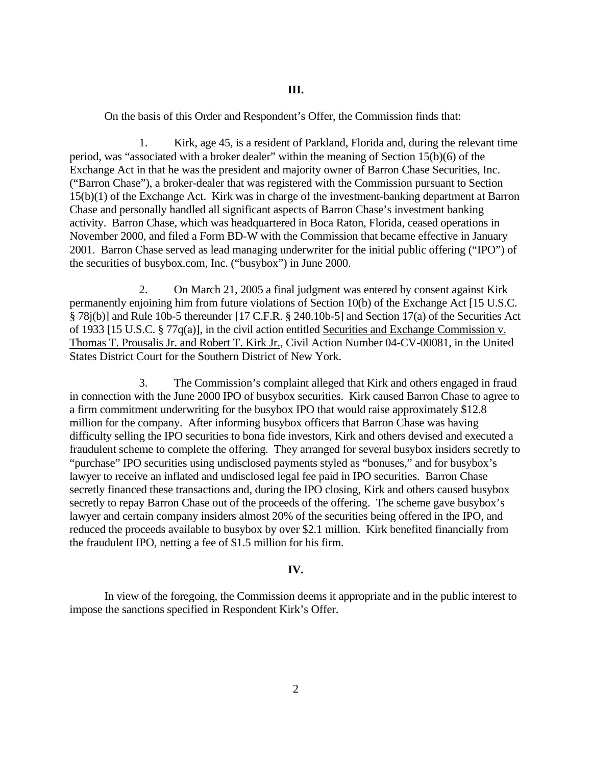On the basis of this Order and Respondent's Offer, the Commission finds that:

1. Kirk, age 45, is a resident of Parkland, Florida and, during the relevant time period, was "associated with a broker dealer" within the meaning of Section 15(b)(6) of the Exchange Act in that he was the president and majority owner of Barron Chase Securities, Inc. ("Barron Chase"), a broker-dealer that was registered with the Commission pursuant to Section 15(b)(1) of the Exchange Act. Kirk was in charge of the investment-banking department at Barron Chase and personally handled all significant aspects of Barron Chase's investment banking activity. Barron Chase, which was headquartered in Boca Raton, Florida, ceased operations in November 2000, and filed a Form BD-W with the Commission that became effective in January 2001. Barron Chase served as lead managing underwriter for the initial public offering ("IPO") of the securities of busybox.com, Inc. ("busybox") in June 2000.

2. On March 21, 2005 a final judgment was entered by consent against Kirk permanently enjoining him from future violations of Section 10(b) of the Exchange Act [15 U.S.C. § 78j(b)] and Rule 10b-5 thereunder [17 C.F.R. § 240.10b-5] and Section 17(a) of the Securities Act of 1933 [15 U.S.C. § 77q(a)], in the civil action entitled Securities and Exchange Commission v. Thomas T. Prousalis Jr. and Robert T. Kirk Jr., Civil Action Number 04-CV-00081, in the United States District Court for the Southern District of New York.

3. The Commission's complaint alleged that Kirk and others engaged in fraud in connection with the June 2000 IPO of busybox securities. Kirk caused Barron Chase to agree to a firm commitment underwriting for the busybox IPO that would raise approximately \$12.8 million for the company. After informing busybox officers that Barron Chase was having difficulty selling the IPO securities to bona fide investors, Kirk and others devised and executed a fraudulent scheme to complete the offering. They arranged for several busybox insiders secretly to "purchase" IPO securities using undisclosed payments styled as "bonuses," and for busybox's lawyer to receive an inflated and undisclosed legal fee paid in IPO securities. Barron Chase secretly financed these transactions and, during the IPO closing, Kirk and others caused busybox secretly to repay Barron Chase out of the proceeds of the offering. The scheme gave busybox's lawyer and certain company insiders almost 20% of the securities being offered in the IPO, and reduced the proceeds available to busybox by over \$2.1 million. Kirk benefited financially from the fraudulent IPO, netting a fee of \$1.5 million for his firm.

### **IV.**

In view of the foregoing, the Commission deems it appropriate and in the public interest to impose the sanctions specified in Respondent Kirk's Offer.